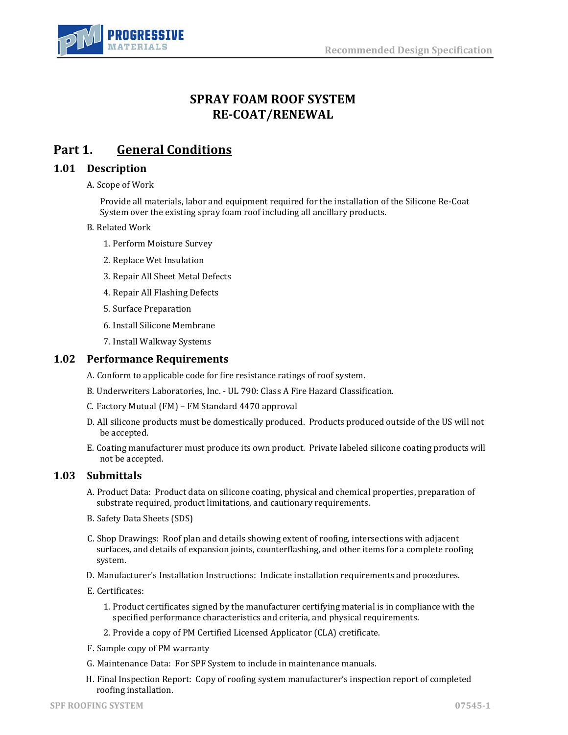

# **SPRAY FOAM ROOF SYSTEM RE-COAT/RENEWAL**

# **Part 1. General Conditions**

# **1.01 Description**

#### A. Scope of Work

Provide all materials, labor and equipment required for the installation of the Silicone Re-Coat System over the existing spray foam roof including all ancillary products.

### B. Related Work

- 1. Perform Moisture Survey
- 2. Replace Wet Insulation
- 3. Repair All Sheet Metal Defects
- 4. Repair All Flashing Defects
- 5. Surface Preparation
- 6. Install Silicone Membrane
- 7. Install Walkway Systems

### **1.02 Performance Requirements**

- A. Conform to applicable code for fire resistance ratings of roof system.
- B. Underwriters Laboratories, Inc. UL 790: Class A Fire Hazard Classification.
- C. Factory Mutual (FM) FM Standard 4470 approval
- D. All silicone products must be domestically produced. Products produced outside of the US will not be accepted.
- E. Coating manufacturer must produce its own product. Private labeled silicone coating products will not be accepted.

### **1.03 Submittals**

- A. Product Data: Product data on silicone coating, physical and chemical properties, preparation of substrate required, product limitations, and cautionary requirements.
- B. Safety Data Sheets (SDS)
- C. Shop Drawings: Roof plan and details showing extent of roofing, intersections with adjacent surfaces, and details of expansion joints, counterflashing, and other items for a complete roofing system.
- D. Manufacturer's Installation Instructions: Indicate installation requirements and procedures.
- E. Certificates:
	- 1. Product certificates signed by the manufacturer certifying material is in compliance with the specified performance characteristics and criteria, and physical requirements.
	- 2. Provide a copy of PM Certified Licensed Applicator (CLA) cretificate.
- F. Sample copy of PM warranty
- G. Maintenance Data: For SPF System to include in maintenance manuals.
- H. Final Inspection Report: Copy of roofing system manufacturer's inspection report of completed roofing installation.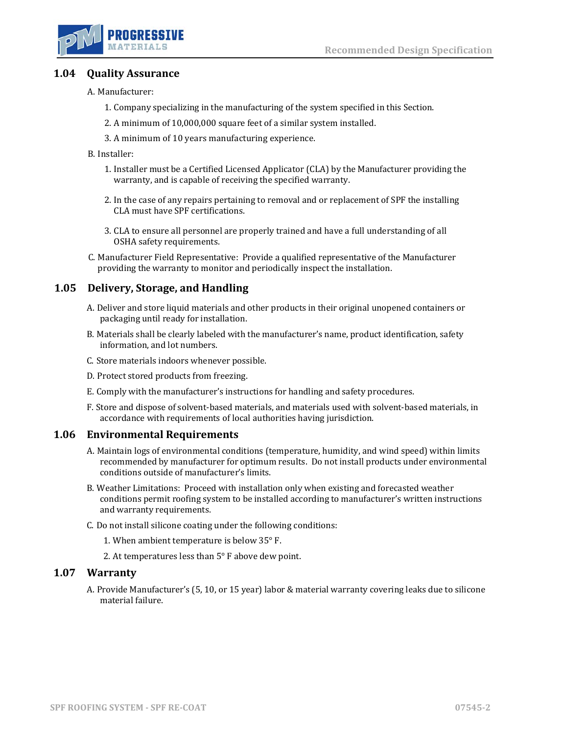

## **1.04 Quality Assurance**

A. Manufacturer:

- 1. Company specializing in the manufacturing of the system specified in this Section.
- 2. A minimum of 10,000,000 square feet of a similar system installed.
- 3. A minimum of 10 years manufacturing experience.

B. Installer:

- 1. Installer must be a Certified Licensed Applicator (CLA) by the Manufacturer providing the warranty, and is capable of receiving the specified warranty.
- 2. In the case of any repairs pertaining to removal and or replacement of SPF the installing CLA must have SPF certifications.
- 3. CLA to ensure all personnel are properly trained and have a full understanding of all OSHA safety requirements.
- C. Manufacturer Field Representative: Provide a qualified representative of the Manufacturer providing the warranty to monitor and periodically inspect the installation.

## **1.05 Delivery, Storage, and Handling**

- A. Deliver and store liquid materials and other products in their original unopened containers or packaging until ready for installation.
- B. Materials shall be clearly labeled with the manufacturer's name, product identification, safety information, and lot numbers.
- C. Store materials indoors whenever possible.
- D. Protect stored products from freezing.
- E. Comply with the manufacturer's instructions for handling and safety procedures.
- F. Store and dispose of solvent-based materials, and materials used with solvent-based materials, in accordance with requirements of local authorities having jurisdiction.

### **1.06 Environmental Requirements**

- A. Maintain logs of environmental conditions (temperature, humidity, and wind speed) within limits recommended by manufacturer for optimum results. Do not install products under environmental conditions outside of manufacturer's limits.
- B. Weather Limitations: Proceed with installation only when existing and forecasted weather conditions permit roofing system to be installed according to manufacturer's written instructions and warranty requirements.
- C. Do not install silicone coating under the following conditions:
	- 1. When ambient temperature is below 35° F.
	- 2. At temperatures less than 5° F above dew point.

#### **1.07 Warranty**

A. Provide Manufacturer's (5, 10, or 15 year) labor & material warranty covering leaks due to silicone material failure.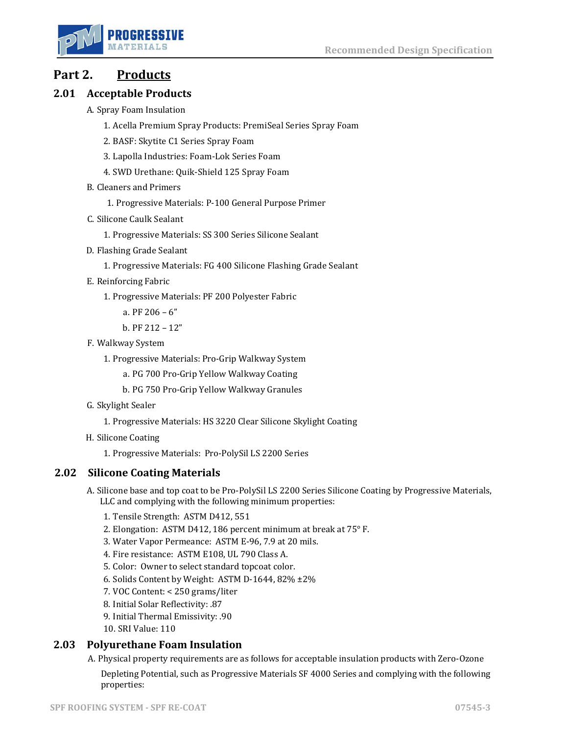

# **Part 2. Products**

# **2.01 Acceptable Products**

- A. Spray Foam Insulation
	- 1. Acella Premium Spray Products: PremiSeal Series Spray Foam
	- 2. BASF: Skytite C1 Series Spray Foam
	- 3. Lapolla Industries: Foam-Lok Series Foam
	- 4. SWD Urethane: Quik-Shield 125 Spray Foam
- B. Cleaners and Primers
	- 1. Progressive Materials: P-100 General Purpose Primer
- C. Silicone Caulk Sealant
	- 1. Progressive Materials: SS 300 Series Silicone Sealant
- D. Flashing Grade Sealant
	- 1. Progressive Materials: FG 400 Silicone Flashing Grade Sealant
- E. Reinforcing Fabric
	- 1. Progressive Materials: PF 200 Polyester Fabric
		- a. PF 206 6"
		- b. PF 212 12"
- F. Walkway System
	- 1. Progressive Materials: Pro-Grip Walkway System
		- a. PG 700 Pro-Grip Yellow Walkway Coating
		- b. PG 750 Pro-Grip Yellow Walkway Granules
- G. Skylight Sealer
	- 1. Progressive Materials: HS 3220 Clear Silicone Skylight Coating
- H. Silicone Coating
	- 1. Progressive Materials: Pro-PolySil LS 2200 Series

# **2.02 Silicone Coating Materials**

- A. Silicone base and top coat to be Pro-PolySil LS 2200 Series Silicone Coating by Progressive Materials, LLC and complying with the following minimum properties:
	- 1. Tensile Strength: ASTM D412, 551
	- 2. Elongation: ASTM D412, 186 percent minimum at break at 75° F.
	- 3. Water Vapor Permeance: ASTM E-96, 7.9 at 20 mils.
	- 4. Fire resistance: ASTM E108, UL 790 Class A.
	- 5. Color: Owner to select standard topcoat color.
	- 6. Solids Content by Weight: ASTM D-1644, 82% ±2%
	- 7. VOC Content: < 250 grams/liter
	- 8. Initial Solar Reflectivity: .87
	- 9. Initial Thermal Emissivity: .90
	- 10. SRI Value: 110

# **2.03 Polyurethane Foam Insulation**

A. Physical property requirements are as follows for acceptable insulation products with Zero-Ozone Depleting Potential, such as Progressive Materials SF 4000 Series and complying with the following properties: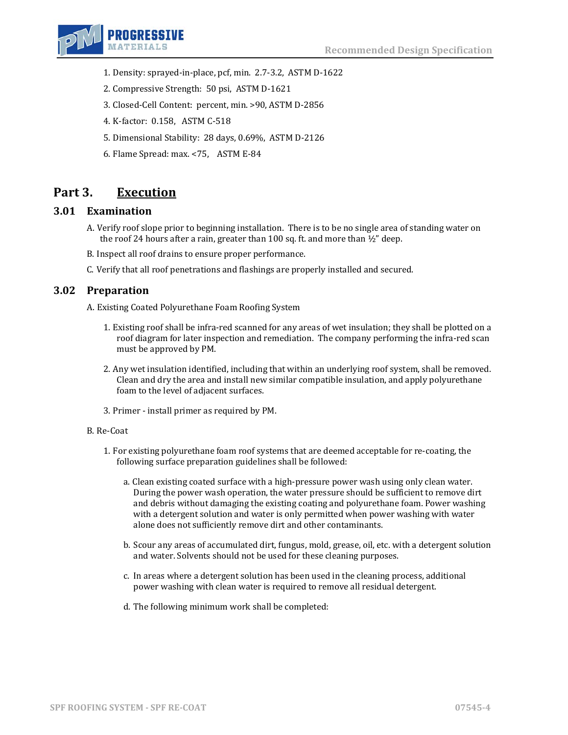

- 1. Density: sprayed-in-place, pcf, min. 2.7-3.2, ASTM D-1622
- 2. Compressive Strength: 50 psi, ASTM D-1621
- 3. Closed-Cell Content: percent, min. >90, ASTM D-2856
- 4. K-factor: 0.158, ASTM C-518
- 5. Dimensional Stability: 28 days, 0.69%, ASTM D-2126
- 6. Flame Spread: max. <75, ASTM E-84

# **Part 3. Execution**

## **3.01 Examination**

- A. Verify roof slope prior to beginning installation. There is to be no single area of standing water on the roof 24 hours after a rain, greater than 100 sq. ft. and more than  $\frac{1}{2}$ " deep.
- B. Inspect all roof drains to ensure proper performance.
- C. Verify that all roof penetrations and flashings are properly installed and secured.

## **3.02 Preparation**

A. Existing Coated Polyurethane Foam Roofing System

- 1. Existing roof shall be infra-red scanned for any areas of wet insulation; they shall be plotted on a roof diagram for later inspection and remediation. The company performing the infra-red scan must be approved by PM.
- 2. Any wet insulation identified, including that within an underlying roof system, shall be removed. Clean and dry the area and install new similar compatible insulation, and apply polyurethane foam to the level of adjacent surfaces.
- 3. Primer install primer as required by PM.

#### B. Re-Coat

- 1. For existing polyurethane foam roof systems that are deemed acceptable for re-coating, the following surface preparation guidelines shall be followed:
	- a. Clean existing coated surface with a high-pressure power wash using only clean water. During the power wash operation, the water pressure should be sufficient to remove dirt and debris without damaging the existing coating and polyurethane foam. Power washing with a detergent solution and water is only permitted when power washing with water alone does not sufficiently remove dirt and other contaminants.
	- b. Scour any areas of accumulated dirt, fungus, mold, grease, oil, etc. with a detergent solution and water. Solvents should not be used for these cleaning purposes.
	- c. In areas where a detergent solution has been used in the cleaning process, additional power washing with clean water is required to remove all residual detergent.
	- d. The following minimum work shall be completed: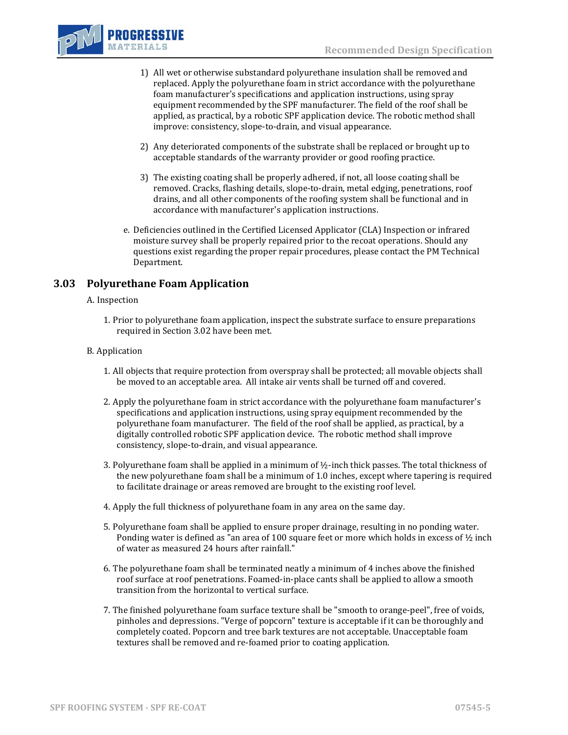

- 1) All wet or otherwise substandard polyurethane insulation shall be removed and replaced. Apply the polyurethane foam in strict accordance with the polyurethane foam manufacturer's specifications and application instructions, using spray equipment recommended by the SPF manufacturer. The field of the roof shall be applied, as practical, by a robotic SPF application device. The robotic method shall improve: consistency, slope-to-drain, and visual appearance.
- 2) Any deteriorated components of the substrate shall be replaced or brought up to acceptable standards of the warranty provider or good roofing practice.
- 3) The existing coating shall be properly adhered, if not, all loose coating shall be removed. Cracks, flashing details, slope-to-drain, metal edging, penetrations, roof drains, and all other components of the roofing system shall be functional and in accordance with manufacturer's application instructions.
- e. Deficiencies outlined in the Certified Licensed Applicator (CLA) Inspection or infrared moisture survey shall be properly repaired prior to the recoat operations. Should any questions exist regarding the proper repair procedures, please contact the PM Technical Department.

# **3.03 Polyurethane Foam Application**

#### A. Inspection

1. Prior to polyurethane foam application, inspect the substrate surface to ensure preparations required in Section 3.02 have been met.

#### B. Application

- 1. All objects that require protection from overspray shall be protected; all movable objects shall be moved to an acceptable area. All intake air vents shall be turned off and covered.
- 2. Apply the polyurethane foam in strict accordance with the polyurethane foam manufacturer's specifications and application instructions, using spray equipment recommended by the polyurethane foam manufacturer. The field of the roof shall be applied, as practical, by a digitally controlled robotic SPF application device. The robotic method shall improve consistency, slope-to-drain, and visual appearance.
- 3. Polyurethane foam shall be applied in a minimum of  $\frac{1}{2}$ -inch thick passes. The total thickness of the new polyurethane foam shall be a minimum of 1.0 inches, except where tapering is required to facilitate drainage or areas removed are brought to the existing roof level.
- 4. Apply the full thickness of polyurethane foam in any area on the same day.
- 5. Polyurethane foam shall be applied to ensure proper drainage, resulting in no ponding water. Ponding water is defined as "an area of 100 square feet or more which holds in excess of ½ inch of water as measured 24 hours after rainfall."
- 6. The polyurethane foam shall be terminated neatly a minimum of 4 inches above the finished roof surface at roof penetrations. Foamed-in-place cants shall be applied to allow a smooth transition from the horizontal to vertical surface.
- 7. The finished polyurethane foam surface texture shall be "smooth to orange-peel", free of voids, pinholes and depressions. "Verge of popcorn" texture is acceptable if it can be thoroughly and completely coated. Popcorn and tree bark textures are not acceptable. Unacceptable foam textures shall be removed and re-foamed prior to coating application.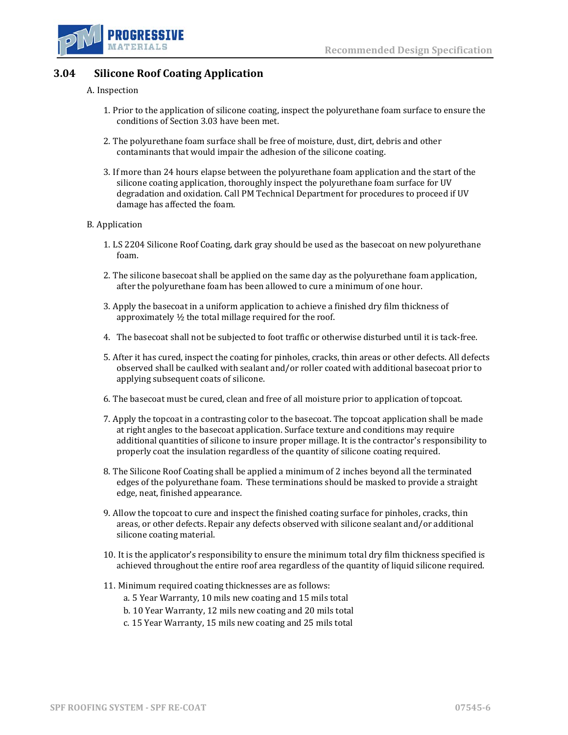



# **3.04 Silicone Roof Coating Application**

#### A. Inspection

- 1. Prior to the application of silicone coating, inspect the polyurethane foam surface to ensure the conditions of Section 3.03 have been met.
- 2. The polyurethane foam surface shall be free of moisture, dust, dirt, debris and other contaminants that would impair the adhesion of the silicone coating.
- 3. If more than 24 hours elapse between the polyurethane foam application and the start of the silicone coating application, thoroughly inspect the polyurethane foam surface for UV degradation and oxidation. Call PM Technical Department for procedures to proceed if UV damage has affected the foam.

#### B. Application

- 1. LS 2204 Silicone Roof Coating, dark gray should be used as the basecoat on new polyurethane foam.
- 2. The silicone basecoat shall be applied on the same day as the polyurethane foam application, after the polyurethane foam has been allowed to cure a minimum of one hour.
- 3. Apply the basecoat in a uniform application to achieve a finished dry film thickness of approximately ½ the total millage required for the roof.
- 4. The basecoat shall not be subjected to foot traffic or otherwise disturbed until it is tack-free.
- 5. After it has cured, inspect the coating for pinholes, cracks, thin areas or other defects. All defects observed shall be caulked with sealant and/or roller coated with additional basecoat prior to applying subsequent coats of silicone.
- 6. The basecoat must be cured, clean and free of all moisture prior to application of topcoat.
- 7. Apply the topcoat in a contrasting color to the basecoat. The topcoat application shall be made at right angles to the basecoat application. Surface texture and conditions may require additional quantities of silicone to insure proper millage. It is the contractor's responsibility to properly coat the insulation regardless of the quantity of silicone coating required.
- 8. The Silicone Roof Coating shall be applied a minimum of 2 inches beyond all the terminated edges of the polyurethane foam. These terminations should be masked to provide a straight edge, neat, finished appearance.
- 9. Allow the topcoat to cure and inspect the finished coating surface for pinholes, cracks, thin areas, or other defects. Repair any defects observed with silicone sealant and/or additional silicone coating material.
- 10. It is the applicator's responsibility to ensure the minimum total dry film thickness specified is achieved throughout the entire roof area regardless of the quantity of liquid silicone required.
- 11. Minimum required coating thicknesses are as follows:
	- a. 5 Year Warranty, 10 mils new coating and 15 mils total
	- b. 10 Year Warranty, 12 mils new coating and 20 mils total
	- c. 15 Year Warranty, 15 mils new coating and 25 mils total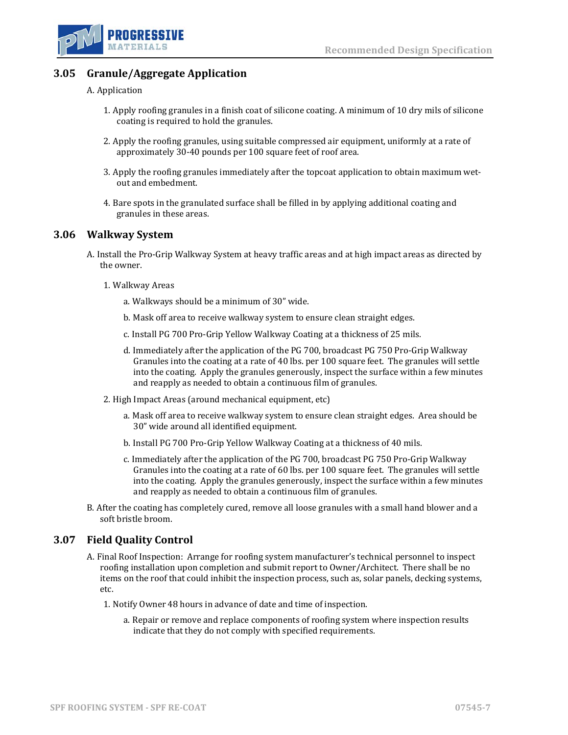



# **3.05 Granule/Aggregate Application**

#### A. Application

- 1. Apply roofing granules in a finish coat of silicone coating. A minimum of 10 dry mils of silicone coating is required to hold the granules.
- 2. Apply the roofing granules, using suitable compressed air equipment, uniformly at a rate of approximately 30-40 pounds per 100 square feet of roof area.
- 3. Apply the roofing granules immediately after the topcoat application to obtain maximum wetout and embedment.
- 4. Bare spots in the granulated surface shall be filled in by applying additional coating and granules in these areas.

### **3.06 Walkway System**

- A. Install the Pro-Grip Walkway System at heavy traffic areas and at high impact areas as directed by the owner.
	- 1. Walkway Areas
		- a. Walkways should be a minimum of 30" wide.
		- b. Mask off area to receive walkway system to ensure clean straight edges.
		- c. Install PG 700 Pro-Grip Yellow Walkway Coating at a thickness of 25 mils.
		- d. Immediately after the application of the PG 700, broadcast PG 750 Pro-Grip Walkway Granules into the coating at a rate of 40 lbs. per 100 square feet. The granules will settle into the coating. Apply the granules generously, inspect the surface within a few minutes and reapply as needed to obtain a continuous film of granules.
	- 2. High Impact Areas (around mechanical equipment, etc)
		- a. Mask off area to receive walkway system to ensure clean straight edges. Area should be 30" wide around all identified equipment.
		- b. Install PG 700 Pro-Grip Yellow Walkway Coating at a thickness of 40 mils.
		- c. Immediately after the application of the PG 700, broadcast PG 750 Pro-Grip Walkway Granules into the coating at a rate of 60 lbs. per 100 square feet. The granules will settle into the coating. Apply the granules generously, inspect the surface within a few minutes and reapply as needed to obtain a continuous film of granules.
- B. After the coating has completely cured, remove all loose granules with a small hand blower and a soft bristle broom.

# **3.07 Field Quality Control**

- A. Final Roof Inspection: Arrange for roofing system manufacturer's technical personnel to inspect roofing installation upon completion and submit report to Owner/Architect. There shall be no items on the roof that could inhibit the inspection process, such as, solar panels, decking systems, etc.
	- 1. Notify Owner 48 hours in advance of date and time of inspection.
		- a. Repair or remove and replace components of roofing system where inspection results indicate that they do not comply with specified requirements.